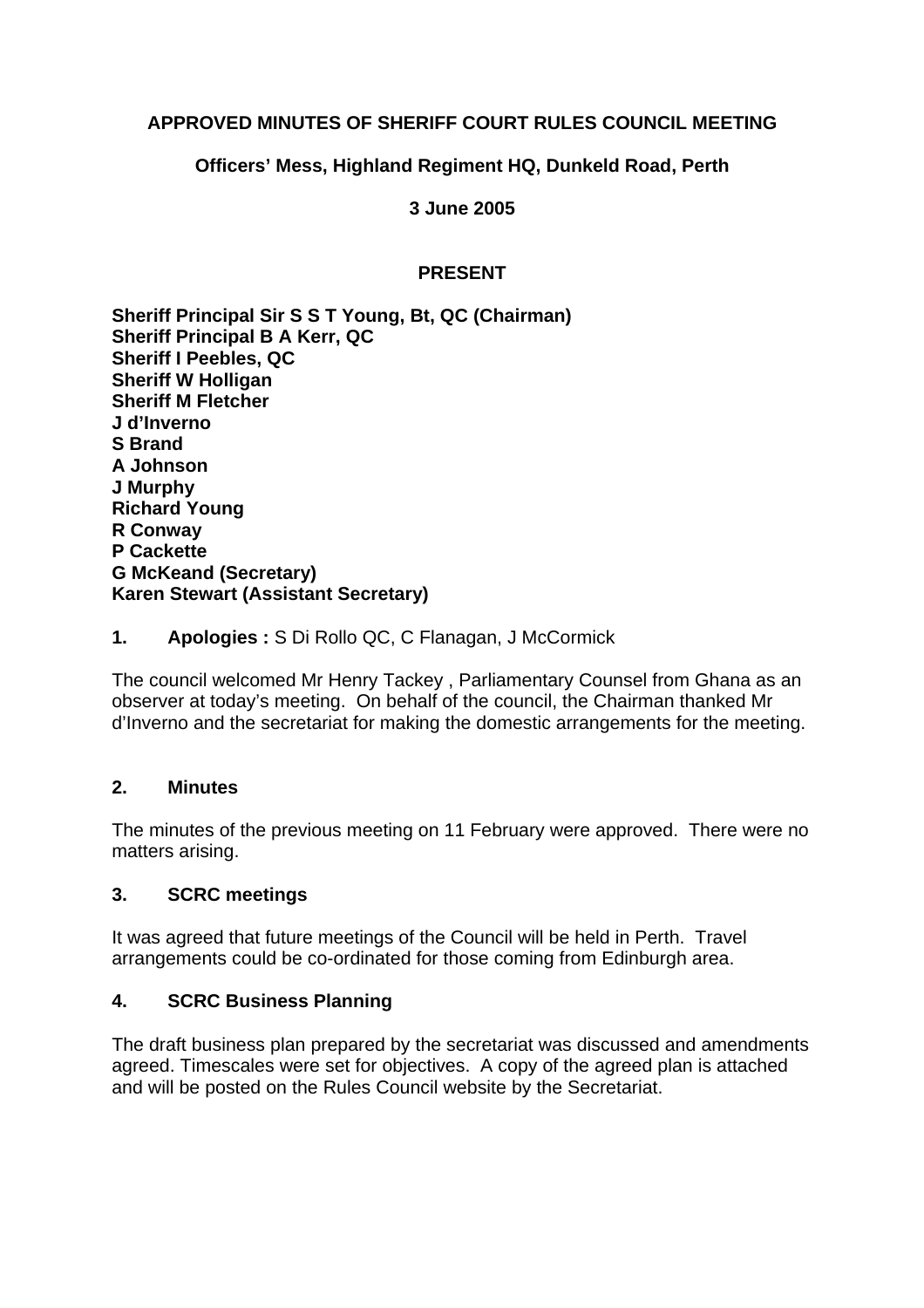## **APPROVED MINUTES OF SHERIFF COURT RULES COUNCIL MEETING**

## **Officers' Mess, Highland Regiment HQ, Dunkeld Road, Perth**

**3 June 2005** 

# **PRESENT**

**Sheriff Principal Sir S S T Young, Bt, QC (Chairman) Sheriff Principal B A Kerr, QC Sheriff I Peebles, QC Sheriff W Holligan Sheriff M Fletcher J d'Inverno S Brand A Johnson J Murphy Richard Young R Conway P Cackette G McKeand (Secretary) Karen Stewart (Assistant Secretary)**

**1. Apologies :** S Di Rollo QC, C Flanagan, J McCormick

The council welcomed Mr Henry Tackey , Parliamentary Counsel from Ghana as an observer at today's meeting. On behalf of the council, the Chairman thanked Mr d'Inverno and the secretariat for making the domestic arrangements for the meeting.

## **2. Minutes**

The minutes of the previous meeting on 11 February were approved. There were no matters arising.

## **3. SCRC meetings**

It was agreed that future meetings of the Council will be held in Perth. Travel arrangements could be co-ordinated for those coming from Edinburgh area.

## **4. SCRC Business Planning**

The draft business plan prepared by the secretariat was discussed and amendments agreed. Timescales were set for objectives. A copy of the agreed plan is attached and will be posted on the Rules Council website by the Secretariat.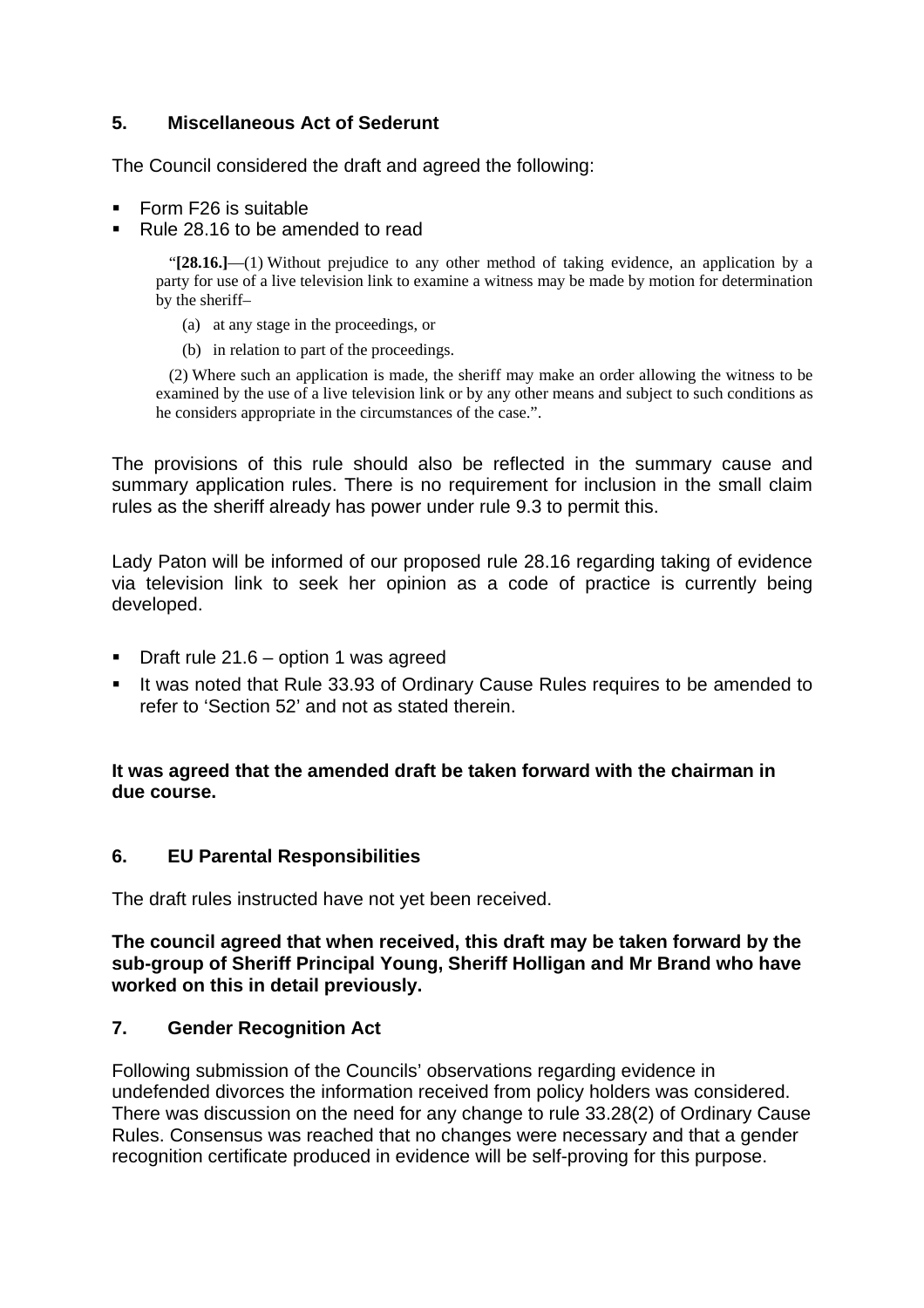## **5. Miscellaneous Act of Sederunt**

The Council considered the draft and agreed the following:

- Form F26 is suitable
- Rule 28.16 to be amended to read

"**[28.16.]**—(1) Without prejudice to any other method of taking evidence, an application by a party for use of a live television link to examine a witness may be made by motion for determination by the sheriff–

- (a) at any stage in the proceedings, or
- (b) in relation to part of the proceedings.

(2) Where such an application is made, the sheriff may make an order allowing the witness to be examined by the use of a live television link or by any other means and subject to such conditions as he considers appropriate in the circumstances of the case.".

The provisions of this rule should also be reflected in the summary cause and summary application rules. There is no requirement for inclusion in the small claim rules as the sheriff already has power under rule 9.3 to permit this.

Lady Paton will be informed of our proposed rule 28.16 regarding taking of evidence via television link to seek her opinion as a code of practice is currently being developed.

- **Draft rule 21.6 option 1 was agreed**
- If was noted that Rule 33.93 of Ordinary Cause Rules requires to be amended to refer to 'Section 52' and not as stated therein.

**It was agreed that the amended draft be taken forward with the chairman in due course.** 

## **6. EU Parental Responsibilities**

The draft rules instructed have not yet been received.

**The council agreed that when received, this draft may be taken forward by the sub-group of Sheriff Principal Young, Sheriff Holligan and Mr Brand who have worked on this in detail previously.**

## **7. Gender Recognition Act**

Following submission of the Councils' observations regarding evidence in undefended divorces the information received from policy holders was considered. There was discussion on the need for any change to rule 33.28(2) of Ordinary Cause Rules. Consensus was reached that no changes were necessary and that a gender recognition certificate produced in evidence will be self-proving for this purpose.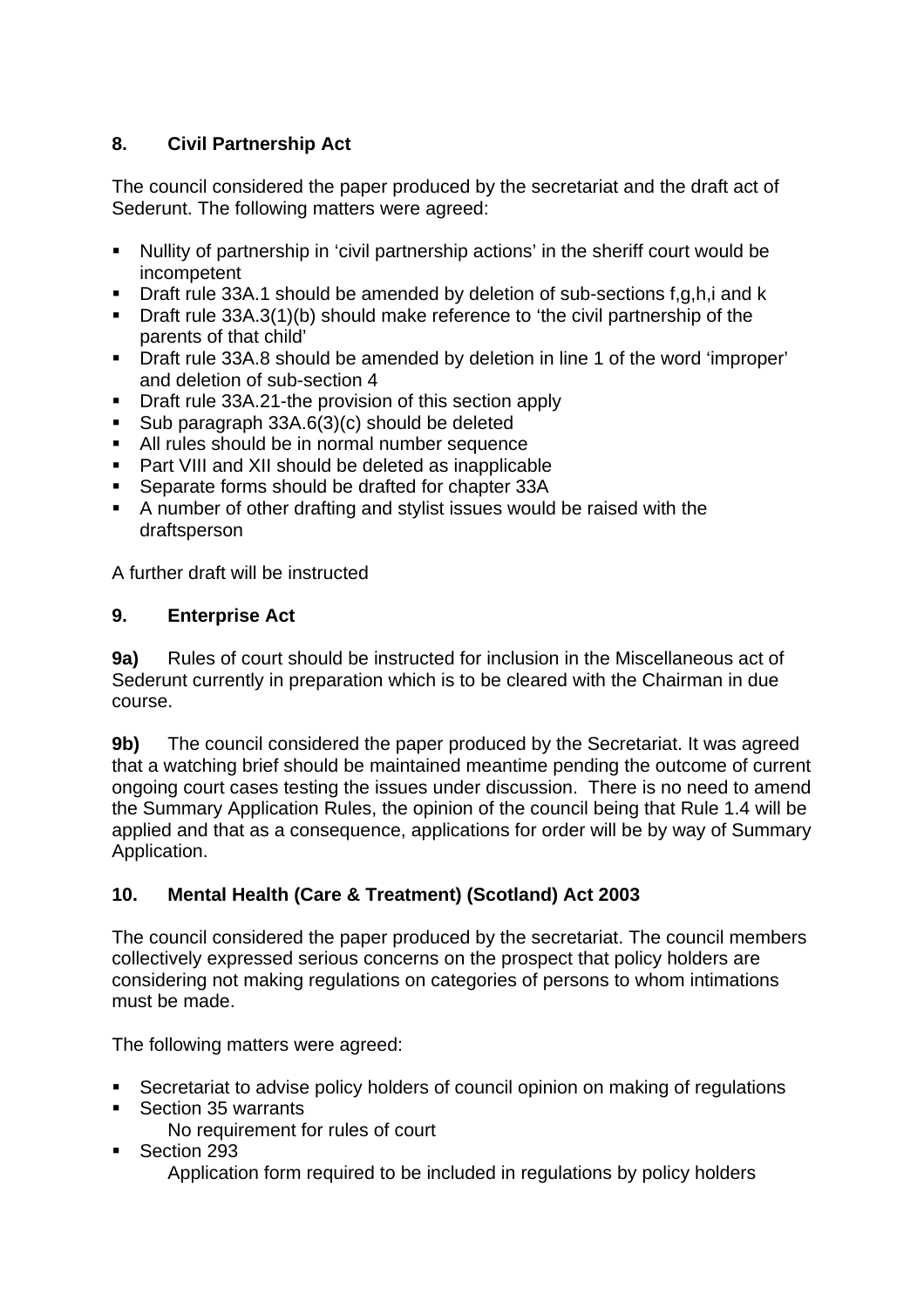# **8. Civil Partnership Act**

The council considered the paper produced by the secretariat and the draft act of Sederunt. The following matters were agreed:

- Nullity of partnership in 'civil partnership actions' in the sheriff court would be incompetent
- Draft rule 33A.1 should be amended by deletion of sub-sections f,g,h,i and k
- Draft rule 33A.3(1)(b) should make reference to 'the civil partnership of the parents of that child'
- Draft rule 33A.8 should be amended by deletion in line 1 of the word 'improper' and deletion of sub-section 4
- Draft rule 33A.21-the provision of this section apply
- Sub paragraph 33A.6(3)(c) should be deleted
- All rules should be in normal number sequence
- Part VIII and XII should be deleted as inapplicable
- Separate forms should be drafted for chapter 33A
- A number of other drafting and stylist issues would be raised with the draftsperson

A further draft will be instructed

## **9. Enterprise Act**

**9a)** Rules of court should be instructed for inclusion in the Miscellaneous act of Sederunt currently in preparation which is to be cleared with the Chairman in due course.

**9b)** The council considered the paper produced by the Secretariat. It was agreed that a watching brief should be maintained meantime pending the outcome of current ongoing court cases testing the issues under discussion. There is no need to amend the Summary Application Rules, the opinion of the council being that Rule 1.4 will be applied and that as a consequence, applications for order will be by way of Summary Application.

# **10. Mental Health (Care & Treatment) (Scotland) Act 2003**

The council considered the paper produced by the secretariat. The council members collectively expressed serious concerns on the prospect that policy holders are considering not making regulations on categories of persons to whom intimations must be made.

The following matters were agreed:

- Secretariat to advise policy holders of council opinion on making of regulations
- Section 35 warrants
	- No requirement for rules of court
- Section 293 Application form required to be included in regulations by policy holders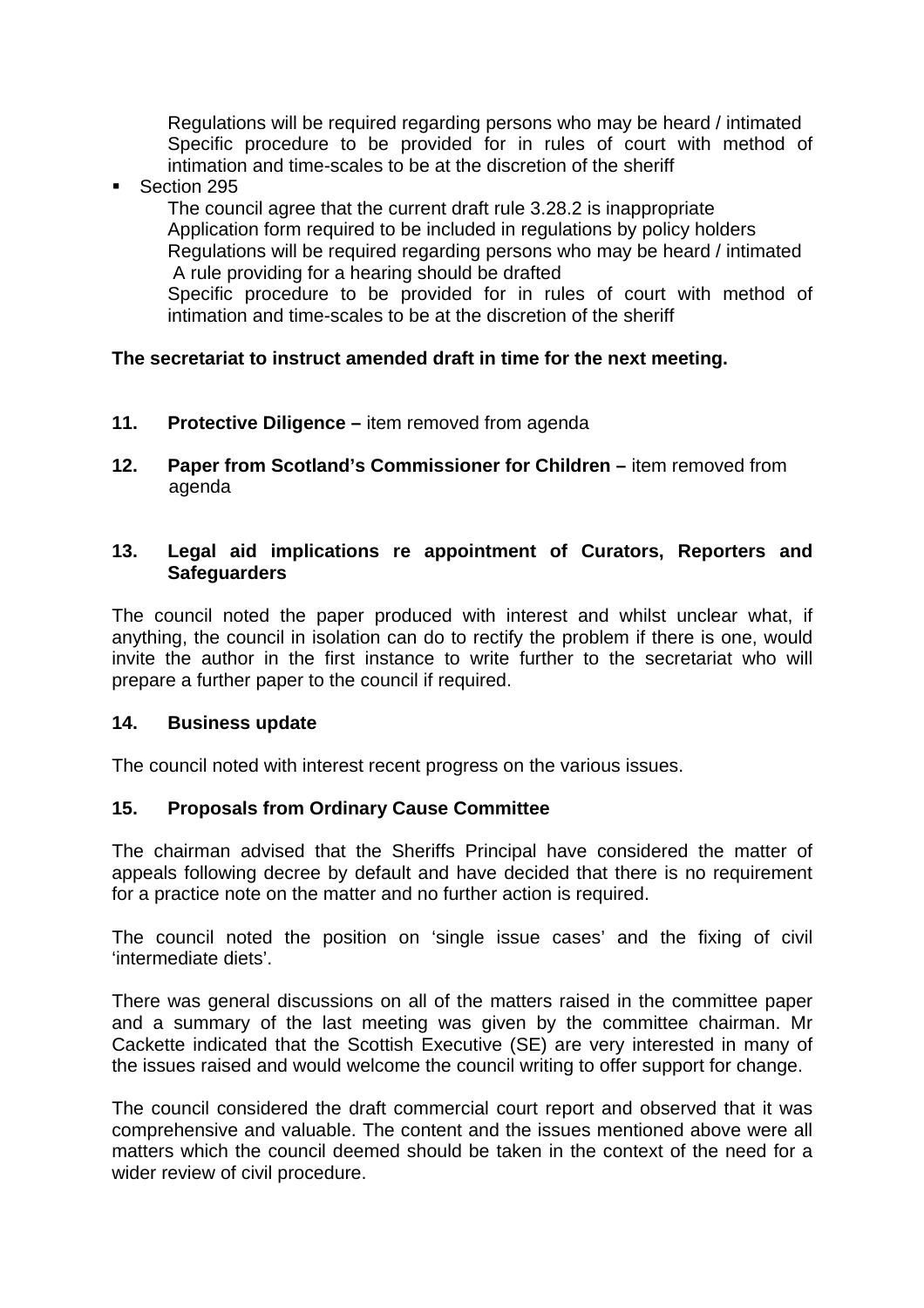Regulations will be required regarding persons who may be heard / intimated Specific procedure to be provided for in rules of court with method of intimation and time-scales to be at the discretion of the sheriff

Section 295

The council agree that the current draft rule 3.28.2 is inappropriate Application form required to be included in regulations by policy holders Regulations will be required regarding persons who may be heard / intimated A rule providing for a hearing should be drafted Specific procedure to be provided for in rules of court with method of

intimation and time-scales to be at the discretion of the sheriff

# **The secretariat to instruct amended draft in time for the next meeting.**

- **11. Protective Diligence** item removed from agenda
- **12. Paper from Scotland's Commissioner for Children** item removed from agenda

### **13. Legal aid implications re appointment of Curators, Reporters and Safeguarders**

The council noted the paper produced with interest and whilst unclear what, if anything, the council in isolation can do to rectify the problem if there is one, would invite the author in the first instance to write further to the secretariat who will prepare a further paper to the council if required.

## **14. Business update**

The council noted with interest recent progress on the various issues.

## **15. Proposals from Ordinary Cause Committee**

The chairman advised that the Sheriffs Principal have considered the matter of appeals following decree by default and have decided that there is no requirement for a practice note on the matter and no further action is required.

The council noted the position on 'single issue cases' and the fixing of civil 'intermediate diets'.

There was general discussions on all of the matters raised in the committee paper and a summary of the last meeting was given by the committee chairman. Mr Cackette indicated that the Scottish Executive (SE) are very interested in many of the issues raised and would welcome the council writing to offer support for change.

The council considered the draft commercial court report and observed that it was comprehensive and valuable. The content and the issues mentioned above were all matters which the council deemed should be taken in the context of the need for a wider review of civil procedure.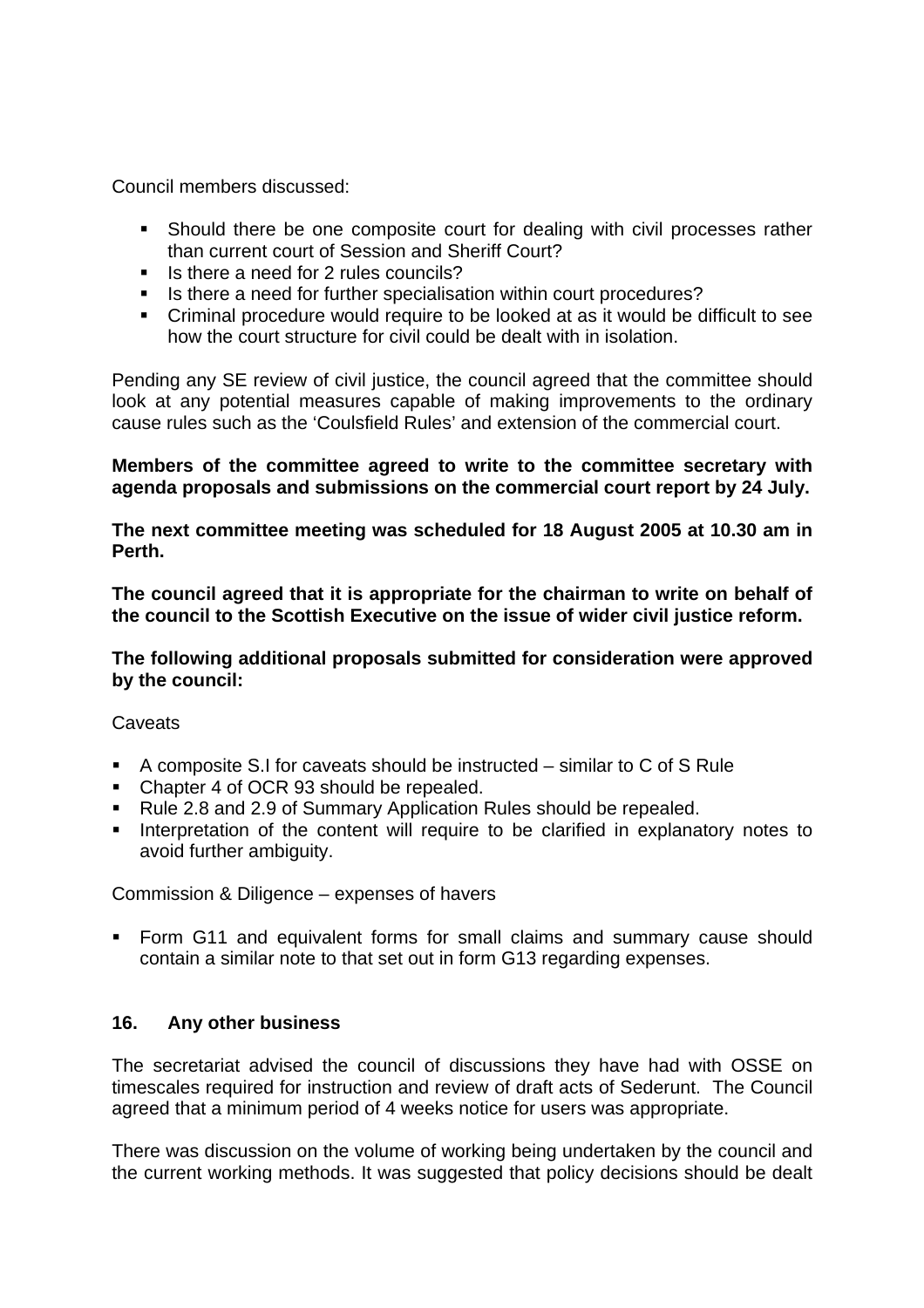Council members discussed:

- Should there be one composite court for dealing with civil processes rather than current court of Session and Sheriff Court?
- Is there a need for 2 rules councils?
- Is there a need for further specialisation within court procedures?
- Criminal procedure would require to be looked at as it would be difficult to see how the court structure for civil could be dealt with in isolation.

Pending any SE review of civil justice, the council agreed that the committee should look at any potential measures capable of making improvements to the ordinary cause rules such as the 'Coulsfield Rules' and extension of the commercial court.

### **Members of the committee agreed to write to the committee secretary with agenda proposals and submissions on the commercial court report by 24 July.**

**The next committee meeting was scheduled for 18 August 2005 at 10.30 am in Perth.** 

**The council agreed that it is appropriate for the chairman to write on behalf of the council to the Scottish Executive on the issue of wider civil justice reform.** 

**The following additional proposals submitted for consideration were approved by the council:** 

**Caveats** 

- A composite S.I for caveats should be instructed similar to C of S Rule
- Chapter 4 of OCR 93 should be repealed.
- Rule 2.8 and 2.9 of Summary Application Rules should be repealed.
- **Interpretation of the content will require to be clarified in explanatory notes to** avoid further ambiguity.

Commission & Diligence – expenses of havers

 Form G11 and equivalent forms for small claims and summary cause should contain a similar note to that set out in form G13 regarding expenses.

#### **16. Any other business**

The secretariat advised the council of discussions they have had with OSSE on timescales required for instruction and review of draft acts of Sederunt. The Council agreed that a minimum period of 4 weeks notice for users was appropriate.

There was discussion on the volume of working being undertaken by the council and the current working methods. It was suggested that policy decisions should be dealt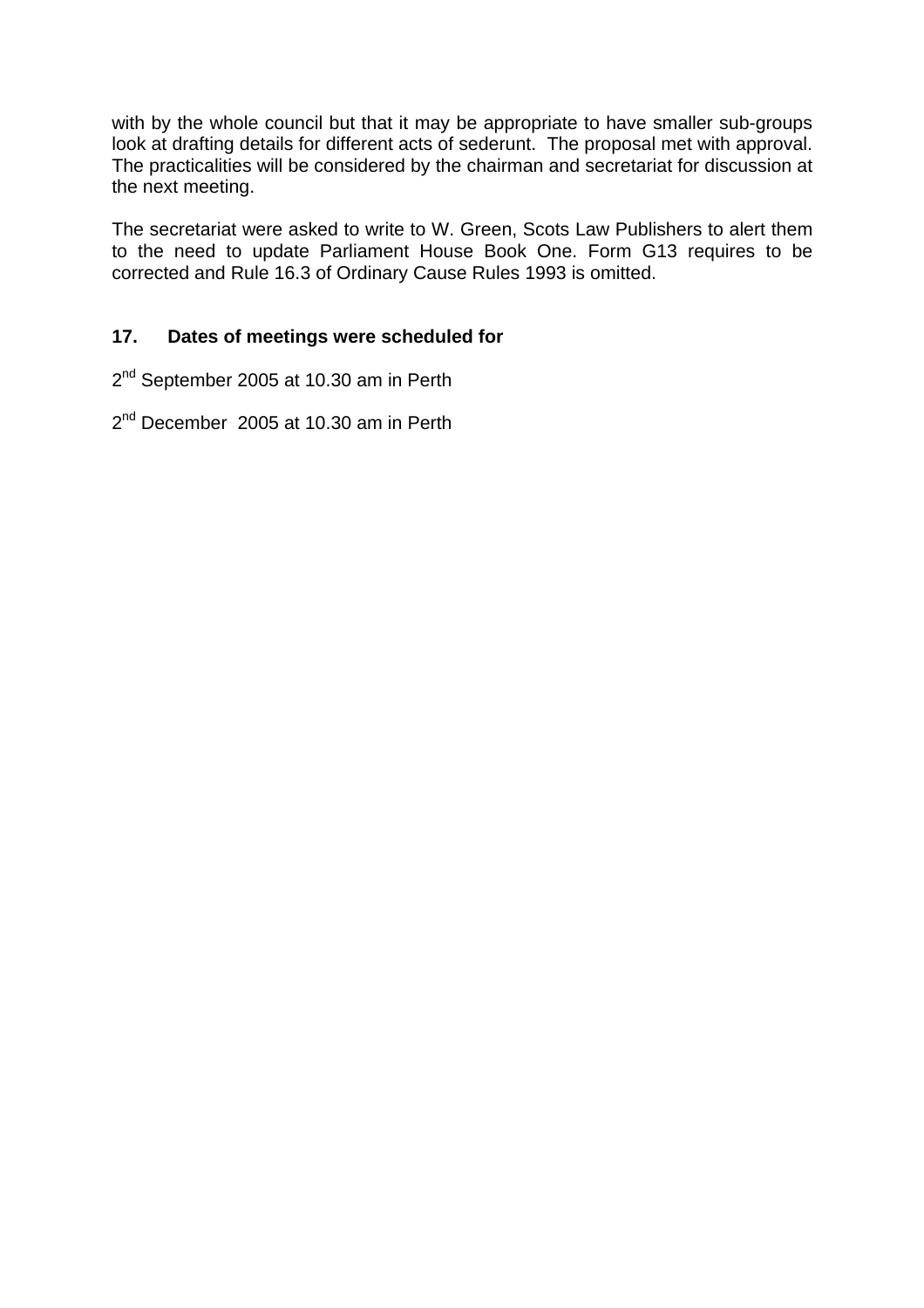with by the whole council but that it may be appropriate to have smaller sub-groups look at drafting details for different acts of sederunt. The proposal met with approval. The practicalities will be considered by the chairman and secretariat for discussion at the next meeting.

The secretariat were asked to write to W. Green, Scots Law Publishers to alert them to the need to update Parliament House Book One. Form G13 requires to be corrected and Rule 16.3 of Ordinary Cause Rules 1993 is omitted.

### **17. Dates of meetings were scheduled for**

2<sup>nd</sup> September 2005 at 10.30 am in Perth

2<sup>nd</sup> December 2005 at 10.30 am in Perth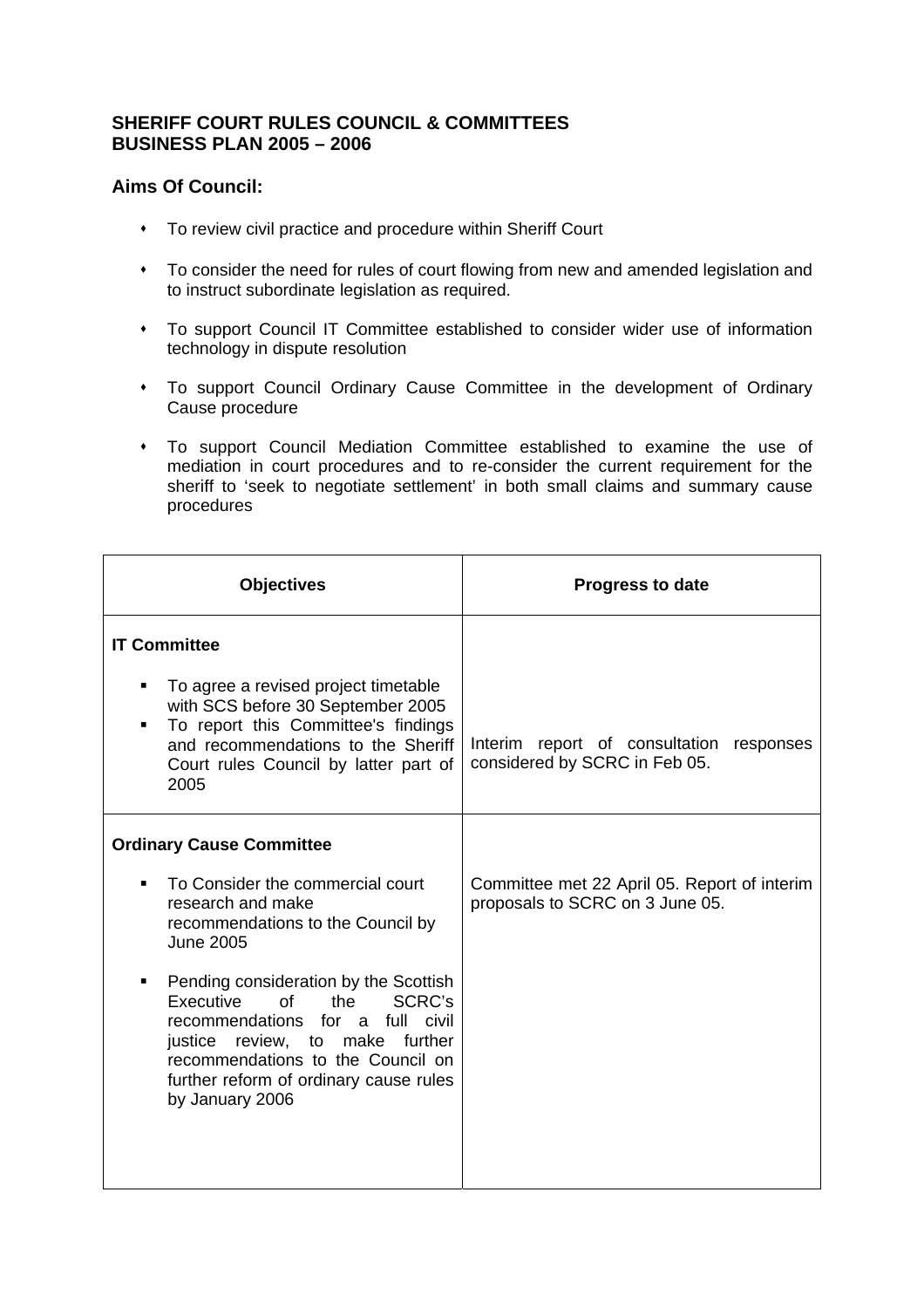#### **SHERIFF COURT RULES COUNCIL & COMMITTEES BUSINESS PLAN 2005 – 2006**

### **Aims Of Council:**

- To review civil practice and procedure within Sheriff Court
- To consider the need for rules of court flowing from new and amended legislation and to instruct subordinate legislation as required.
- To support Council IT Committee established to consider wider use of information technology in dispute resolution
- To support Council Ordinary Cause Committee in the development of Ordinary Cause procedure
- To support Council Mediation Committee established to examine the use of mediation in court procedures and to re-consider the current requirement for the sheriff to 'seek to negotiate settlement' in both small claims and summary cause procedures

| <b>Objectives</b>                                                                                                                                                                                                                                                     | <b>Progress to date</b>                                                         |
|-----------------------------------------------------------------------------------------------------------------------------------------------------------------------------------------------------------------------------------------------------------------------|---------------------------------------------------------------------------------|
| <b>IT Committee</b>                                                                                                                                                                                                                                                   |                                                                                 |
| To agree a revised project timetable<br>with SCS before 30 September 2005<br>To report this Committee's findings<br>and recommendations to the Sheriff<br>Court rules Council by latter part of<br>2005                                                               | Interim report of consultation<br>responses<br>considered by SCRC in Feb 05.    |
| <b>Ordinary Cause Committee</b>                                                                                                                                                                                                                                       |                                                                                 |
| To Consider the commercial court<br>٠<br>research and make<br>recommendations to the Council by<br><b>June 2005</b>                                                                                                                                                   | Committee met 22 April 05. Report of interim<br>proposals to SCRC on 3 June 05. |
| Pending consideration by the Scottish<br>٠<br>Executive<br>$\sigma$ f<br>SCRC's<br>the<br>for a full civil<br>recommendations<br>review, to make further<br>justice<br>recommendations to the Council on<br>further reform of ordinary cause rules<br>by January 2006 |                                                                                 |